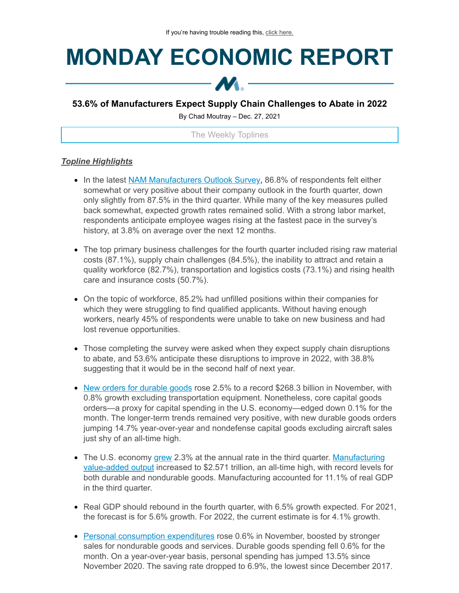# **MONDAY ECONOMIC REPORT**



## **53.6% of Manufacturers Expect Supply Chain Challenges to Abate in 2022**

By Chad Moutray – Dec. 27, 2021

The Weekly Toplines

### *Topline Highlights*

- In the latest NAM [Manufacturers](https://click.email.nam.org/?qs=0be8306f2741176c02e20c1a242bbbaa565a0f64059eac19d9b596d7e24bc5daa5a00f292280ef2d2f7612330d149366fb5624e02b448489) Outlook Survey, 86.8% of respondents felt either somewhat or very positive about their company outlook in the fourth quarter, down only slightly from 87.5% in the third quarter. While many of the key measures pulled back somewhat, expected growth rates remained solid. With a strong labor market, respondents anticipate employee wages rising at the fastest pace in the survey's history, at 3.8% on average over the next 12 months.
- The top primary business challenges for the fourth quarter included rising raw material costs (87.1%), supply chain challenges (84.5%), the inability to attract and retain a quality workforce (82.7%), transportation and logistics costs (73.1%) and rising health care and insurance costs (50.7%).
- On the topic of workforce, 85.2% had unfilled positions within their companies for which they were struggling to find qualified applicants. Without having enough workers, nearly 45% of respondents were unable to take on new business and had lost revenue opportunities.
- Those completing the survey were asked when they expect supply chain disruptions to abate, and 53.6% anticipate these disruptions to improve in 2022, with 38.8% suggesting that it would be in the second half of next year.
- New orders for [durable](https://click.email.nam.org/?qs=0be8306f2741176c031b32a37200e58a0c827c339b1ad26bfd6edb9e6574f7aea7b9e62b8bbdf338018408067ac63355af14107e93b1fa5c) goods rose 2.5% to a record \$268.3 billion in November, with 0.8% growth excluding transportation equipment. Nonetheless, core capital goods orders—a proxy for capital spending in the U.S. economy—edged down 0.1% for the month. The longer-term trends remained very positive, with new durable goods orders jumping 14.7% year-over-year and nondefense capital goods excluding aircraft sales just shy of an all-time high.
- The U.S. economy [grew](https://click.email.nam.org/?qs=0be8306f2741176cd5595a6a96a46cac6e81d8d9e0397170438104e47eafd6301c909863c250a89b18704ffad1a91f0eda120479f375c770) 2.3% at the annual rate in the third quarter. [Manufacturing](https://click.email.nam.org/?qs=0be8306f2741176cd5595a6a96a46cac6e81d8d9e0397170438104e47eafd6301c909863c250a89b18704ffad1a91f0eda120479f375c770) value-added output increased to \$2.571 trillion, an all-time high, with record levels for both durable and nondurable goods. Manufacturing accounted for 11.1% of real GDP in the third quarter.
- Real GDP should rebound in the fourth quarter, with 6.5% growth expected. For 2021, the forecast is for 5.6% growth. For 2022, the current estimate is for 4.1% growth.
- Personal consumption [expenditures](https://click.email.nam.org/?qs=0be8306f2741176c9ba1ad70739972dbad1aefa60591ac9d8fce9b46e50f887bd0bfad438b6fdac912506c136f9679d05a0ae9467de7514c) rose 0.6% in November, boosted by stronger sales for nondurable goods and services. Durable goods spending fell 0.6% for the month. On a year-over-year basis, personal spending has jumped 13.5% since November 2020. The saving rate dropped to 6.9%, the lowest since December 2017.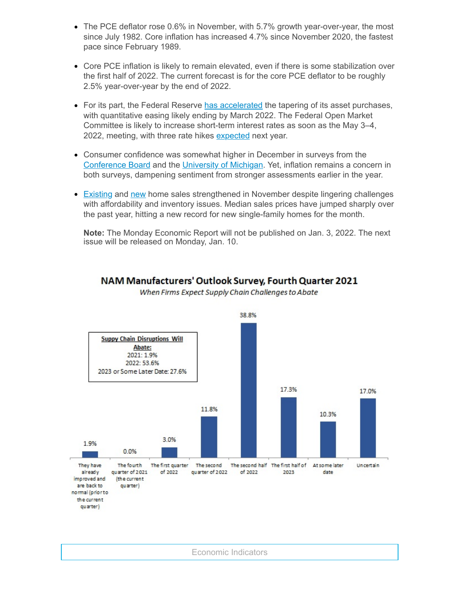- The PCE deflator rose 0.6% in November, with 5.7% growth year-over-year, the most since July 1982. Core inflation has increased 4.7% since November 2020, the fastest pace since February 1989.
- Core PCE inflation is likely to remain elevated, even if there is some stabilization over the first half of 2022. The current forecast is for the core PCE deflator to be roughly 2.5% year-over-year by the end of 2022.
- For its part, the Federal Reserve has [accelerated](https://click.email.nam.org/?qs=0be8306f2741176c134f60ddfa0236fe6f650d70407956200a8115cdb519da7165d1dacbadcb573b23bc02d9815b57747923bac98b4f0db0) the tapering of its asset purchases, with quantitative easing likely ending by March 2022. The Federal Open Market Committee is likely to increase short-term interest rates as soon as the May 3–4, 2022, meeting, with three rate hikes [expected](https://click.email.nam.org/?qs=0be8306f2741176cdd51f3d69a1d379cf99d20f783b1f922e68853b44e1a95d7ca2ecbcc9cdf2116ed86aff471b9ee8b9c7e30ccb8d34897) next year.
- Consumer confidence was somewhat higher in December in surveys from the [Conference](https://click.email.nam.org/?qs=0be8306f2741176c6d709d97a4d706317fdc6d190ae01b8ce35f14ee40b967b7220a15b3882707f2ea163d6c678a5bcacaf86d32aae7b16c) Board and the [University](https://click.email.nam.org/?qs=0be8306f2741176ca10f4d29d6710d0184ea20a6bc76a33ad5af30765a6fbf6edaeb0dc21ee60b1f8bdbb52492b18948655e5b0e519bc3bf) of Michigan. Yet, inflation remains a concern in both surveys, dampening sentiment from stronger assessments earlier in the year.
- **[Existing](https://click.email.nam.org/?qs=0be8306f2741176c1da0722f535790c225ae8e9cee9c1cec0045dc228bb6e0f3958a98f4371f3d9f40e266c0c9b0e459fc6fdb5eba13179c) and [new](https://click.email.nam.org/?qs=0be8306f2741176cfdfeb2df23cac588777c2d8094b4dbf8c1994d33193ac52eaffbc480c3dcae94fce6c10fdfffbbcc309ba17d4d40ed27) home sales strengthened in November despite lingering challenges** with affordability and inventory issues. Median sales prices have jumped sharply over the past year, hitting a new record for new single-family homes for the month.

**Note:** The Monday Economic Report will not be published on Jan. 3, 2022. The next issue will be released on Monday, Jan. 10.



Economic Indicators

## NAM Manufacturers' Outlook Survey, Fourth Quarter 2021 When Firms Expect Supply Chain Challenges to Abate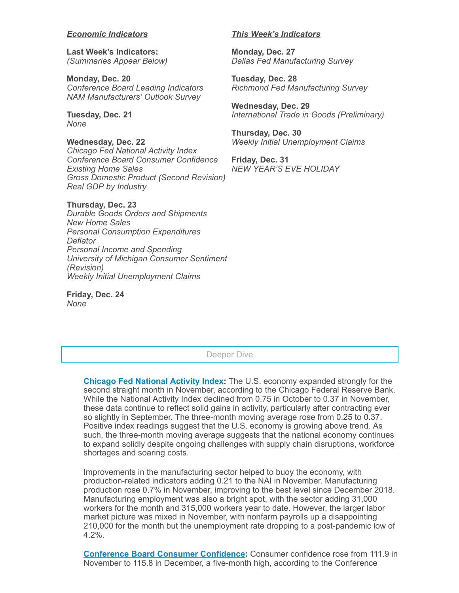#### *Economic Indicators*

**Last Week's Indicators:** *(Summaries Appear Below)*

**Monday, Dec. 20** *Conference Board Leading Indicators NAM Manufacturers' Outlook Survey*

**Tuesday, Dec. 21** *None*

**Wednesday, Dec. 22** *Chicago Fed National Activity Index Conference Board Consumer Confidence Existing Home Sales Gross Domestic Product (Second Revision) Real GDP by Industry*

**Thursday, Dec. 23** *Durable Goods Orders and Shipments New Home Sales Personal Consumption Expenditures Deflator Personal Income and Spending University of Michigan Consumer Sentiment (Revision) Weekly Initial Unemployment Claims*

**Friday, Dec. 24** *None*

#### *This Week's Indicators*

**Monday, Dec. 27** *Dallas Fed Manufacturing Survey*

**Tuesday, Dec. 28** *Richmond Fed Manufacturing Survey*

**Wednesday, Dec. 29** *International Trade in Goods (Preliminary)*

**Thursday, Dec. 30** *Weekly Initial Unemployment Claims*

**Friday, Dec. 31** *NEW YEAR'S EVE HOLIDAY*

Deeper Dive

**Chicago Fed [National](https://click.email.nam.org/?qs=0be8306f2741176c4fd688a6220afc1d9d59a5c95237581f43752a13e9f392cf0e00a8e34ddb20ebeccf95de40f2bd5faa9d9822493db7e6) Activity Index:** The U.S. economy expanded strongly for the second straight month in November, according to the Chicago Federal Reserve Bank. While the National Activity Index declined from 0.75 in October to 0.37 in November, these data continue to reflect solid gains in activity, particularly after contracting ever so slightly in September. The three-month moving average rose from 0.25 to 0.37. Positive index readings suggest that the U.S. economy is growing above trend. As such, the three-month moving average suggests that the national economy continues to expand solidly despite ongoing challenges with supply chain disruptions, workforce shortages and soaring costs.

Improvements in the manufacturing sector helped to buoy the economy, with production-related indicators adding 0.21 to the NAI in November. Manufacturing production rose 0.7% in November, improving to the best level since December 2018. Manufacturing employment was also a bright spot, with the sector adding 31,000 workers for the month and 315,000 workers year to date. However, the larger labor market picture was mixed in November, with nonfarm payrolls up a disappointing 210,000 for the month but the unemployment rate dropping to a post-pandemic low of 4.2%.

**Conference Board Consumer [Confidence:](https://click.email.nam.org/?qs=0be8306f2741176c6d709d97a4d706317fdc6d190ae01b8ce35f14ee40b967b7220a15b3882707f2ea163d6c678a5bcacaf86d32aae7b16c)** Consumer confidence rose from 111.9 in November to 115.8 in December, a five-month high, according to the Conference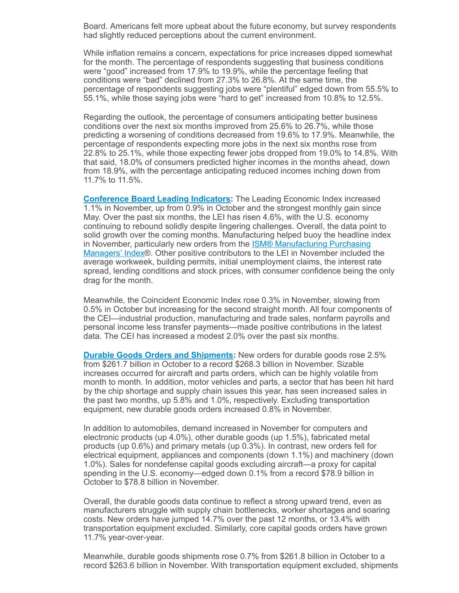Board. Americans felt more upbeat about the future economy, but survey respondents had slightly reduced perceptions about the current environment.

While inflation remains a concern, expectations for price increases dipped somewhat for the month. The percentage of respondents suggesting that business conditions were "good" increased from 17.9% to 19.9%, while the percentage feeling that conditions were "bad" declined from 27.3% to 26.8%. At the same time, the percentage of respondents suggesting jobs were "plentiful" edged down from 55.5% to 55.1%, while those saying jobs were "hard to get" increased from 10.8% to 12.5%.

Regarding the outlook, the percentage of consumers anticipating better business conditions over the next six months improved from 25.6% to 26.7%, while those predicting a worsening of conditions decreased from 19.6% to 17.9%. Meanwhile, the percentage of respondents expecting more jobs in the next six months rose from 22.8% to 25.1%, while those expecting fewer jobs dropped from 19.0% to 14.8%. With that said, 18.0% of consumers predicted higher incomes in the months ahead, down from 18.9%, with the percentage anticipating reduced incomes inching down from 11.7% to 11.5%.

**[Conference](https://click.email.nam.org/?qs=0be8306f2741176cf538df6cc996266ae77ddd5390297698868f50269c497425d043a509f715d73c29ab1173080bfc44fe12ae428e870dde) Board Leading Indicators:** The Leading Economic Index increased 1.1% in November, up from 0.9% in October and the strongest monthly gain since May. Over the past six months, the LEI has risen 4.6%, with the U.S. economy continuing to rebound solidly despite lingering challenges. Overall, the data point to solid growth over the coming months. Manufacturing helped buoy the headline index in November, particularly new orders from the ISM® [Manufacturing](https://click.email.nam.org/?qs=0be8306f2741176cf8962d9402e193cd504ceb1472b55e57963296d3b4017b365e8d5449fcd4c17aafa6133d1317f66e8aa8db34da51e403) Purchasing Managers' Index®. Other positive contributors to the LEI in November included the average workweek, building permits, initial unemployment claims, the interest rate spread, lending conditions and stock prices, with consumer confidence being the only drag for the month.

Meanwhile, the Coincident Economic Index rose 0.3% in November, slowing from 0.5% in October but increasing for the second straight month. All four components of the CEI—industrial production, manufacturing and trade sales, nonfarm payrolls and personal income less transfer payments—made positive contributions in the latest data. The CEI has increased a modest 2.0% over the past six months.

**Durable Goods Orders and [Shipments](https://click.email.nam.org/?qs=0be8306f2741176c031b32a37200e58a0c827c339b1ad26bfd6edb9e6574f7aea7b9e62b8bbdf338018408067ac63355af14107e93b1fa5c):** New orders for durable goods rose 2.5% from \$261.7 billion in October to a record \$268.3 billion in November. Sizable increases occurred for aircraft and parts orders, which can be highly volatile from month to month. In addition, motor vehicles and parts, a sector that has been hit hard by the chip shortage and supply chain issues this year, has seen increased sales in the past two months, up 5.8% and 1.0%, respectively. Excluding transportation equipment, new durable goods orders increased 0.8% in November.

In addition to automobiles, demand increased in November for computers and electronic products (up 4.0%), other durable goods (up 1.5%), fabricated metal products (up 0.6%) and primary metals (up 0.3%). In contrast, new orders fell for electrical equipment, appliances and components (down 1.1%) and machinery (down 1.0%). Sales for nondefense capital goods excluding aircraft—a proxy for capital spending in the U.S. economy—edged down 0.1% from a record \$78.9 billion in October to \$78.8 billion in November.

Overall, the durable goods data continue to reflect a strong upward trend, even as manufacturers struggle with supply chain bottlenecks, worker shortages and soaring costs. New orders have jumped 14.7% over the past 12 months, or 13.4% with transportation equipment excluded. Similarly, core capital goods orders have grown 11.7% year-over-year.

Meanwhile, durable goods shipments rose 0.7% from \$261.8 billion in October to a record \$263.6 billion in November. With transportation equipment excluded, shipments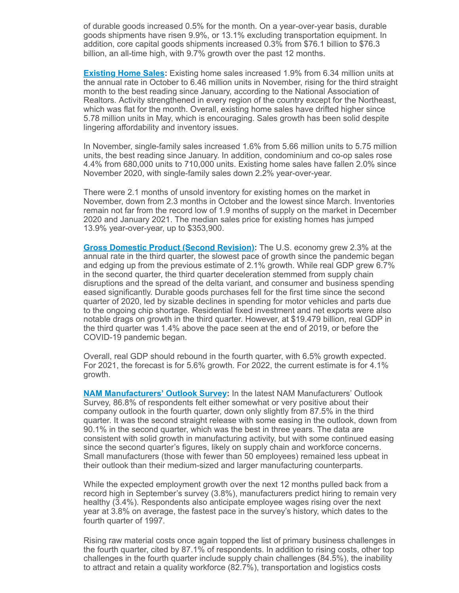of durable goods increased 0.5% for the month. On a year-over-year basis, durable goods shipments have risen 9.9%, or 13.1% excluding transportation equipment. In addition, core capital goods shipments increased 0.3% from \$76.1 billion to \$76.3 billion, an all-time high, with 9.7% growth over the past 12 months.

**[Existing](https://click.email.nam.org/?qs=0be8306f2741176c1da0722f535790c225ae8e9cee9c1cec0045dc228bb6e0f3958a98f4371f3d9f40e266c0c9b0e459fc6fdb5eba13179c) Home Sales:** Existing home sales increased 1.9% from 6.34 million units at the annual rate in October to 6.46 million units in November, rising for the third straight month to the best reading since January, according to the National Association of Realtors. Activity strengthened in every region of the country except for the Northeast, which was flat for the month. Overall, existing home sales have drifted higher since 5.78 million units in May, which is encouraging. Sales growth has been solid despite lingering affordability and inventory issues.

In November, single-family sales increased 1.6% from 5.66 million units to 5.75 million units, the best reading since January. In addition, condominium and co-op sales rose 4.4% from 680,000 units to 710,000 units. Existing home sales have fallen 2.0% since November 2020, with single-family sales down 2.2% year-over-year.

There were 2.1 months of unsold inventory for existing homes on the market in November, down from 2.3 months in October and the lowest since March. Inventories remain not far from the record low of 1.9 months of supply on the market in December 2020 and January 2021. The median sales price for existing homes has jumped 13.9% year-over-year, up to \$353,900.

**Gross Domestic Product (Second [Revision\):](https://click.email.nam.org/?qs=0be8306f2741176cd5595a6a96a46cac6e81d8d9e0397170438104e47eafd6301c909863c250a89b18704ffad1a91f0eda120479f375c770)** The U.S. economy grew 2.3% at the annual rate in the third quarter, the slowest pace of growth since the pandemic began and edging up from the previous estimate of 2.1% growth. While real GDP grew 6.7% in the second quarter, the third quarter deceleration stemmed from supply chain disruptions and the spread of the delta variant, and consumer and business spending eased significantly. Durable goods purchases fell for the first time since the second quarter of 2020, led by sizable declines in spending for motor vehicles and parts due to the ongoing chip shortage. Residential fixed investment and net exports were also notable drags on growth in the third quarter. However, at \$19.479 billion, real GDP in the third quarter was 1.4% above the pace seen at the end of 2019, or before the COVID-19 pandemic began.

Overall, real GDP should rebound in the fourth quarter, with 6.5% growth expected. For 2021, the forecast is for 5.6% growth. For 2022, the current estimate is for 4.1% growth.

**NAM [Manufacturers'](https://click.email.nam.org/?qs=0be8306f2741176ccb15050585da0bf27f564dadaf2e4898706fb76c45414e8aceb5790a88809b4f405b3edd2968922cffc6016b580c4475) Outlook Survey:** In the latest NAM Manufacturers' Outlook Survey, 86.8% of respondents felt either somewhat or very positive about their company outlook in the fourth quarter, down only slightly from 87.5% in the third quarter. It was the second straight release with some easing in the outlook, down from 90.1% in the second quarter, which was the best in three years. The data are consistent with solid growth in manufacturing activity, but with some continued easing since the second quarter's figures, likely on supply chain and workforce concerns. Small manufacturers (those with fewer than 50 employees) remained less upbeat in their outlook than their medium-sized and larger manufacturing counterparts.

While the expected employment growth over the next 12 months pulled back from a record high in September's survey (3.8%), manufacturers predict hiring to remain very healthy (3.4%). Respondents also anticipate employee wages rising over the next year at 3.8% on average, the fastest pace in the survey's history, which dates to the fourth quarter of 1997.

Rising raw material costs once again topped the list of primary business challenges in the fourth quarter, cited by 87.1% of respondents. In addition to rising costs, other top challenges in the fourth quarter include supply chain challenges (84.5%), the inability to attract and retain a quality workforce (82.7%), transportation and logistics costs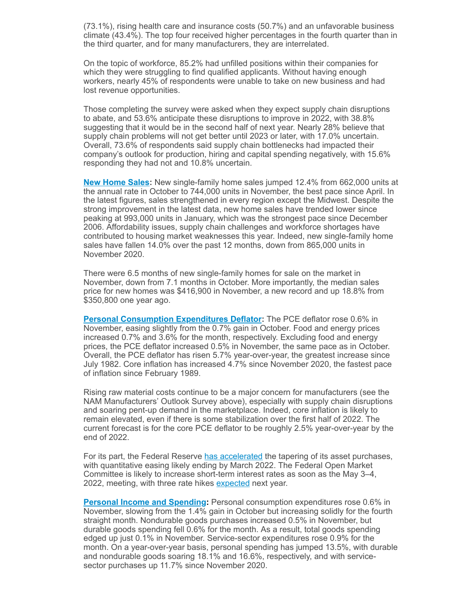(73.1%), rising health care and insurance costs (50.7%) and an unfavorable business climate (43.4%). The top four received higher percentages in the fourth quarter than in the third quarter, and for many manufacturers, they are interrelated.

On the topic of workforce, 85.2% had unfilled positions within their companies for which they were struggling to find qualified applicants. Without having enough workers, nearly 45% of respondents were unable to take on new business and had lost revenue opportunities.

Those completing the survey were asked when they expect supply chain disruptions to abate, and 53.6% anticipate these disruptions to improve in 2022, with 38.8% suggesting that it would be in the second half of next year. Nearly 28% believe that supply chain problems will not get better until 2023 or later, with 17.0% uncertain. Overall, 73.6% of respondents said supply chain bottlenecks had impacted their company's outlook for production, hiring and capital spending negatively, with 15.6% responding they had not and 10.8% uncertain.

**New [Home](https://click.email.nam.org/?qs=0be8306f2741176cfdfeb2df23cac588777c2d8094b4dbf8c1994d33193ac52eaffbc480c3dcae94fce6c10fdfffbbcc309ba17d4d40ed27) Sales:** New single-family home sales jumped 12.4% from 662,000 units at the annual rate in October to 744,000 units in November, the best pace since April. In the latest figures, sales strengthened in every region except the Midwest. Despite the strong improvement in the latest data, new home sales have trended lower since peaking at 993,000 units in January, which was the strongest pace since December 2006. Affordability issues, supply chain challenges and workforce shortages have contributed to housing market weaknesses this year. Indeed, new single-family home sales have fallen 14.0% over the past 12 months, down from 865,000 units in November 2020.

There were 6.5 months of new single-family homes for sale on the market in November, down from 7.1 months in October. More importantly, the median sales price for new homes was \$416,900 in November, a new record and up 18.8% from \$350,800 one year ago.

**Personal [Consumption](https://click.email.nam.org/?qs=0be8306f2741176c9ba1ad70739972dbad1aefa60591ac9d8fce9b46e50f887bd0bfad438b6fdac912506c136f9679d05a0ae9467de7514c) Expenditures Deflator:** The PCE deflator rose 0.6% in November, easing slightly from the 0.7% gain in October. Food and energy prices increased 0.7% and 3.6% for the month, respectively. Excluding food and energy prices, the PCE deflator increased 0.5% in November, the same pace as in October. Overall, the PCE deflator has risen 5.7% year-over-year, the greatest increase since July 1982. Core inflation has increased 4.7% since November 2020, the fastest pace of inflation since February 1989.

Rising raw material costs continue to be a major concern for manufacturers (see the NAM Manufacturers' Outlook Survey above), especially with supply chain disruptions and soaring pent-up demand in the marketplace. Indeed, core inflation is likely to remain elevated, even if there is some stabilization over the first half of 2022. The current forecast is for the core PCE deflator to be roughly 2.5% year-over-year by the end of 2022.

For its part, the Federal Reserve has [accelerated](https://click.email.nam.org/?qs=0be8306f2741176c134f60ddfa0236fe6f650d70407956200a8115cdb519da7165d1dacbadcb573b23bc02d9815b57747923bac98b4f0db0) the tapering of its asset purchases, with quantitative easing likely ending by March 2022. The Federal Open Market Committee is likely to increase short-term interest rates as soon as the May 3–4, 2022, meeting, with three rate hikes <u>[expected](https://click.email.nam.org/?qs=0be8306f2741176cdd51f3d69a1d379cf99d20f783b1f922e68853b44e1a95d7ca2ecbcc9cdf2116ed86aff471b9ee8b9c7e30ccb8d34897)</u> next year.

**Personal Income and [Spending](https://click.email.nam.org/?qs=0be8306f2741176c9ba1ad70739972dbad1aefa60591ac9d8fce9b46e50f887bd0bfad438b6fdac912506c136f9679d05a0ae9467de7514c):** Personal consumption expenditures rose 0.6% in November, slowing from the 1.4% gain in October but increasing solidly for the fourth straight month. Nondurable goods purchases increased 0.5% in November, but durable goods spending fell 0.6% for the month. As a result, total goods spending edged up just 0.1% in November. Service-sector expenditures rose 0.9% for the month. On a year-over-year basis, personal spending has jumped 13.5%, with durable and nondurable goods soaring 18.1% and 16.6%, respectively, and with servicesector purchases up 11.7% since November 2020.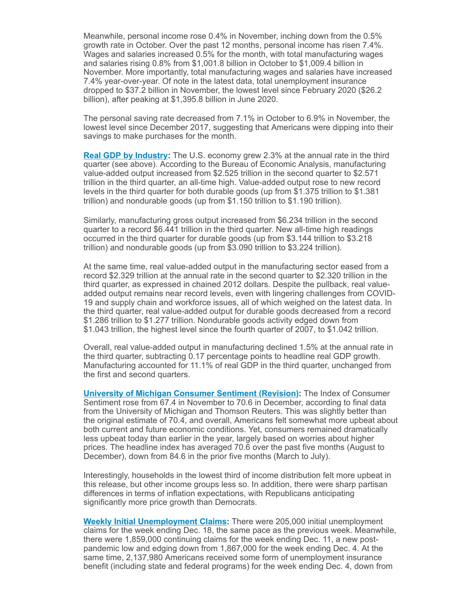Meanwhile, personal income rose 0.4% in November, inching down from the 0.5% growth rate in October. Over the past 12 months, personal income has risen 7.4%. Wages and salaries increased 0.5% for the month, with total manufacturing wages and salaries rising 0.8% from \$1,001.8 billion in October to \$1,009.4 billion in November. More importantly, total manufacturing wages and salaries have increased 7.4% year-over-year. Of note in the latest data, total unemployment insurance dropped to \$37.2 billion in November, the lowest level since February 2020 (\$26.2 billion), after peaking at \$1,395.8 billion in June 2020.

The personal saving rate decreased from 7.1% in October to 6.9% in November, the lowest level since December 2017, suggesting that Americans were dipping into their savings to make purchases for the month.

**Real GDP by [Industry:](https://click.email.nam.org/?qs=0be8306f2741176cd5595a6a96a46cac6e81d8d9e0397170438104e47eafd6301c909863c250a89b18704ffad1a91f0eda120479f375c770)** The U.S. economy grew 2.3% at the annual rate in the third quarter (see above). According to the Bureau of Economic Analysis, manufacturing value-added output increased from \$2.525 trillion in the second quarter to \$2.571 trillion in the third quarter, an all-time high. Value-added output rose to new record levels in the third quarter for both durable goods (up from \$1.375 trillion to \$1.381 trillion) and nondurable goods (up from \$1.150 trillion to \$1.190 trillion).

Similarly, manufacturing gross output increased from \$6.234 trillion in the second quarter to a record \$6.441 trillion in the third quarter. New all-time high readings occurred in the third quarter for durable goods (up from \$3.144 trillion to \$3.218 trillion) and nondurable goods (up from \$3.090 trillion to \$3.224 trillion).

At the same time, real value-added output in the manufacturing sector eased from a record \$2.329 trillion at the annual rate in the second quarter to \$2.320 trillion in the third quarter, as expressed in chained 2012 dollars. Despite the pullback, real valueadded output remains near record levels, even with lingering challenges from COVID-19 and supply chain and workforce issues, all of which weighed on the latest data. In the third quarter, real value-added output for durable goods decreased from a record \$1.286 trillion to \$1.277 trillion. Nondurable goods activity edged down from \$1.043 trillion, the highest level since the fourth quarter of 2007, to \$1.042 trillion.

Overall, real value-added output in manufacturing declined 1.5% at the annual rate in the third quarter, subtracting 0.17 percentage points to headline real GDP growth. Manufacturing accounted for 11.1% of real GDP in the third quarter, unchanged from the first and second quarters.

**University of Michigan [Consumer](https://click.email.nam.org/?qs=0be8306f2741176ca10f4d29d6710d0184ea20a6bc76a33ad5af30765a6fbf6edaeb0dc21ee60b1f8bdbb52492b18948655e5b0e519bc3bf) Sentiment (Revision):** The Index of Consumer Sentiment rose from 67.4 in November to 70.6 in December, according to final data from the University of Michigan and Thomson Reuters. This was slightly better than the original estimate of 70.4, and overall, Americans felt somewhat more upbeat about both current and future economic conditions. Yet, consumers remained dramatically less upbeat today than earlier in the year, largely based on worries about higher prices. The headline index has averaged 70.6 over the past five months (August to December), down from 84.6 in the prior five months (March to July).

Interestingly, households in the lowest third of income distribution felt more upbeat in this release, but other income groups less so. In addition, there were sharp partisan differences in terms of inflation expectations, with Republicans anticipating significantly more price growth than Democrats.

**Weekly Initial [Unemployment](https://click.email.nam.org/?qs=0be8306f2741176c9a3cfb810fe3d1cd204eda4be9a836200db442daaee8f123a7f9730a42af8357281985eb49fb0275937e333a30a38c9d) Claims:** There were 205,000 initial unemployment claims for the week ending Dec. 18, the same pace as the previous week. Meanwhile, there were 1,859,000 continuing claims for the week ending Dec. 11, a new postpandemic low and edging down from 1,867,000 for the week ending Dec. 4. At the same time, 2,137,980 Americans received some form of unemployment insurance benefit (including state and federal programs) for the week ending Dec. 4, down from